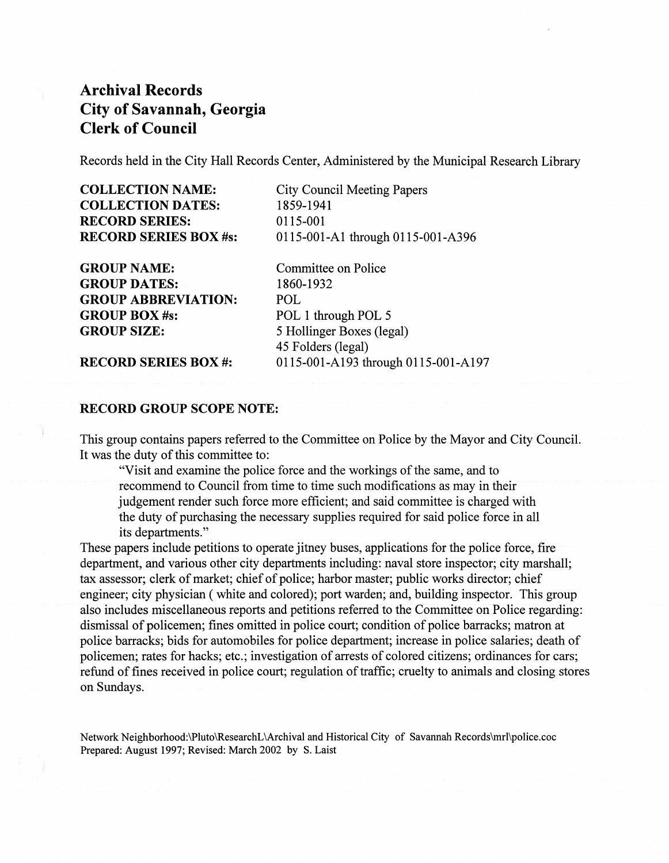Records held in the City Hall Records Center, Administered by the Municipal Research Library

| <b>COLLECTION NAME:</b><br><b>COLLECTION DATES:</b><br><b>RECORD SERIES:</b> | <b>City Council Meeting Papers</b><br>1859-1941<br>0115-001 |                              |                                   |
|------------------------------------------------------------------------------|-------------------------------------------------------------|------------------------------|-----------------------------------|
|                                                                              |                                                             | <b>RECORD SERIES BOX #s:</b> | 0115-001-A1 through 0115-001-A396 |
|                                                                              |                                                             | <b>GROUP NAME:</b>           | Committee on Police               |
| <b>GROUP DATES:</b>                                                          | 1860-1932                                                   |                              |                                   |
| <b>GROUP ABBREVIATION:</b>                                                   | POL.                                                        |                              |                                   |
| <b>GROUP BOX #s:</b>                                                         | POL 1 through POL 5                                         |                              |                                   |
| <b>GROUP SIZE:</b>                                                           | 5 Hollinger Boxes (legal)                                   |                              |                                   |
|                                                                              | 45 Folders (legal)                                          |                              |                                   |
| <b>RECORD SERIES BOX#:</b>                                                   | 0115-001-A193 through 0115-001-A197                         |                              |                                   |
|                                                                              |                                                             |                              |                                   |

### RECORD GROUP SCOPE NOTE:

This group contains papers referred to the Committee on Police by the Mayor and City Council. It was the duty of this committee to:

"Visit and examine the police force and the workings of the same, and to recommend to Council from time to time such modifications as may in their judgement render such force more efficient; and said committee is charged with the duty of purchasing the necessary supplies required for said police force in all its departments."

These papers include petitions to operate jitney buses, applications for the police force, fire department, and various other city departments including: naval store inspector; city marshall; tax assessor; clerk of market; chief of police; harbor master; public works director; chief engineer; city physician (white and colored); port warden; and, building inspector. This group also includes miscellaneous reports and petitions referred to the Committee on Police regarding: dismissal of policemen; fines omitted in police court; condition of police barracks; matron at police barracks; bids for automobiles for police department; increase in police salaries; death of policemen; rates for hacks; etc.; investigation of arrests of colored citizens; ordinances for cars; refund of fines received in police court; regulation of traffic; cruelty to animals and closing stores on Sundays.

Network Neighborhood:\Pluto\ResearchL\Archival and Historical City of Savannah Records\mrl\police.coc Prepared: August 1997; Revised: March 2002 by S. Laist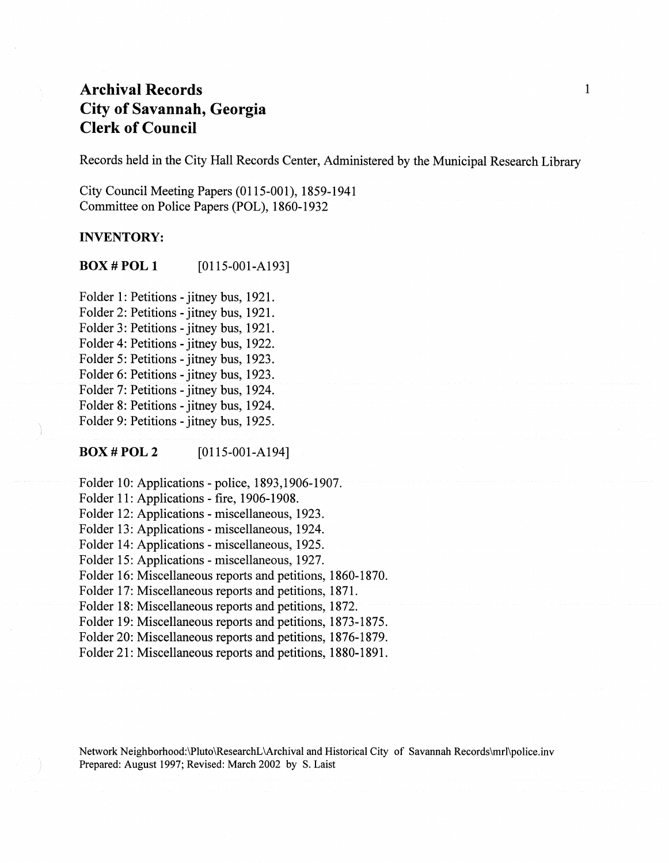Records held in the City Hall Records Center, Administered by the Municipal Research Library

1

City Council Meeting Papers (0115-001), 1859-1941 Committee on Police Papers (POL), 1860-1932

### **INVENTORY:**

BOX # POL **1** [0115-001-AI93]

Folder 1: Petitions - jitney bus, 1921. Folder 2: Petitions - jitney bus, 1921. Folder 3: Petitions - jitney bus, 1921. Folder 4: Petitions - jitney bus, 1922. Folder 5: Petitions - jitney bus, 1923. Folder 6: Petitions - jitney bus, 1923. Folder 7: Petitions - jitney bus, 1924. Folder 8: Petitions - jitney bus, 1924. Folder 9: Petitions - jitney bus, 1925.

**BOX#POL2** [0115-001-AI94]

Folder 10: Applications - police,  $1893,1906-1907$ . Folder 11: Applications - fire, 1906-1908. Folder 12: Applications - miscellaneous, 1923. Folder 13: Applications - miscellaneous, 1924. Folder 14: Applications - miscellaneous, 1925. Folder 15: Applications - miscellaneous, 1927. Folder 16: Miscellaneous reports and petitions, 1860-1870. Folder 17: Miscellaneous reports and petitions, 1871. Folder 18: Miscellaneous reports and petitions, 1872. Folder 19: Miscellaneous reports and petitions, 1873-1875. Folder 20: Miscellaneous reports and petitions, 1876-1879. Folder 21: Miscellaneous reports and petitions, 1880-1891.

Network Neighborhood:\Pluto\ResearchL\Archival and Historical City of Savannah Records\mrl\police.inv Prepared: August 1997; Revised: March 2002 by S. Laist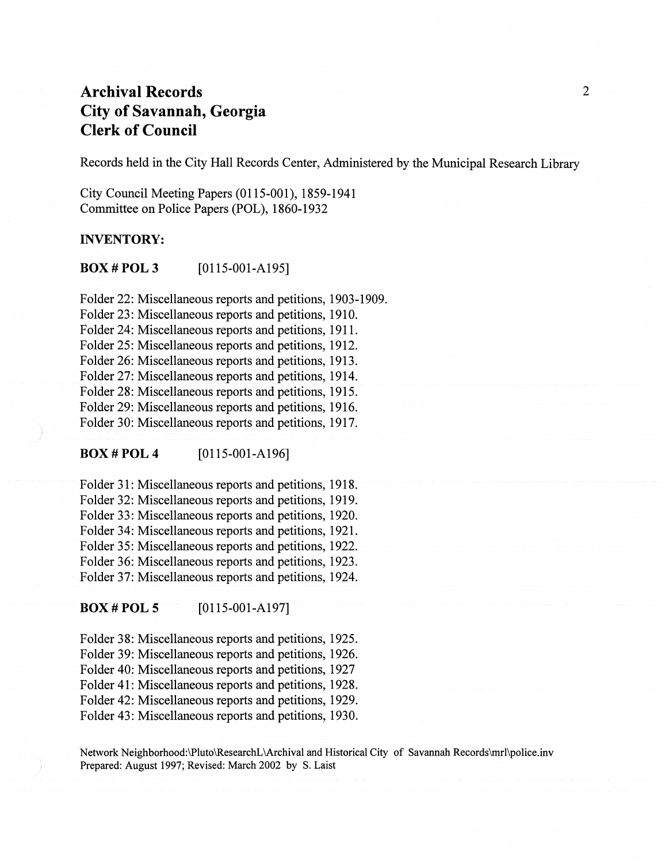Records held in the City Hall Records Center, Administered by the Municipal Research Library

City Council Meeting Papers (0115-001), 1859-1941 Committee on Police Papers (POL), 1860-1932

#### INVENTORY:

**BOX # POL 3** [0115-001-A195]

Folder 22: Miscellaneous reports and petitions, 1903-1909. Folder 23: Miscellaneous reports and petitions, 1910. Folder 24: Miscellaneous reports and petitions, 1911. Folder 25: Miscellaneous reports and petitions, 1912. Folder 26: Miscellaneous reports and petitions, 1913. Folder 27: Miscellaneous reports and petitions, 1914. Folder 28: Miscellaneous reports and petitions, 1915. Folder 29: Miscellaneous reports and petitions, 1916. Folder 30: Miscellaneous reports and petitions, 1917.

#### BOX#POL4 [0115-001-A196]

Folder 31: Miscellaneous reports and petitions, 1918. Folder 32: Miscellaneous reports and petitions, 1919. Folder 33: Miscellaneous reports and petitions, 1920. Folder 34: Miscellaneous reports and petitions, 1921. Folder 35: Miscellaneous reports and petitions, 1922. Folder 36: Miscellaneous reports and petitions, 1923. Folder 37: Miscellaneous reports and petitions, 1924.

**BOX # POL 5** [0115-001-A197]

Folder 38: Miscellaneous reports and petitions, 1925. Folder 39: Miscellaneous reports and petitions, 1926. Folder 40: Miscellaneous reports and petitions, 1927 Folder 41: Miscellaneous reports and petitions, 1928. Folder 42: Miscellaneous reports and petitions, 1929. Folder 43: Miscellaneous reports and petitions, 1930.

Network Neighborhood:\Pluto\ResearchL\Archival and Historical City of Savannah Records\mrl\police.inv Prepared: August 1997; Revised: March 2002 by S. Laist